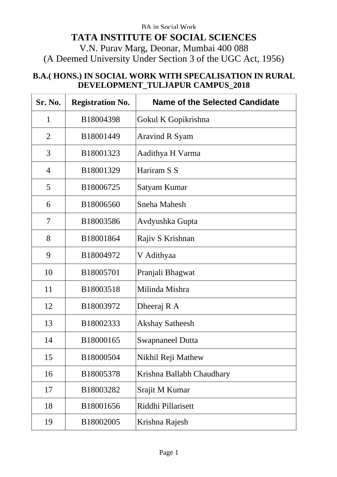## BA in Social Work **TATA INSTITUTE OF SOCIAL SCIENCES** V.N. Purav Marg, Deonar, Mumbai 400 088 (A Deemed University Under Section 3 of the UGC Act, 1956)

## **B.A.( HONS.) IN SOCIAL WORK WITH SPECALISATION IN RURAL DEVELOPMENT\_TULJAPUR CAMPUS\_2018**

| Sr. No.        | <b>Registration No.</b> | Name of the Selected Candidate |
|----------------|-------------------------|--------------------------------|
| 1              | B18004398               | Gokul K Gopikrishna            |
| $\overline{2}$ | B18001449               | Aravind R Syam                 |
| 3              | B18001323               | Aadithya H Varma               |
| $\overline{4}$ | B18001329               | Hariram S S                    |
| 5              | B18006725               | Satyam Kumar                   |
| 6              | B18006560               | Sneha Mahesh                   |
| 7              | B18003586               | Avdyushka Gupta                |
| 8              | B18001864               | Rajiv S Krishnan               |
| 9              | B18004972               | V Adithyaa                     |
| 10             | B18005701               | Pranjali Bhagwat               |
| 11             | B18003518               | Milinda Mishra                 |
| 12             | B18003972               | Dheeraj R A                    |
| 13             | B18002333               | Akshay Satheesh                |
| 14             | B18000165               | Swapnaneel Dutta               |
| 15             | B18000504               | Nikhil Reji Mathew             |
| 16             | B18005378               | Krishna Ballabh Chaudhary      |
| 17             | B18003282               | Srajit M Kumar                 |
| 18             | B18001656               | Riddhi Pillarisett             |
| 19             | B18002005               | Krishna Rajesh                 |